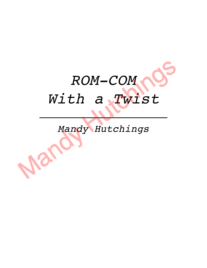

# *Mandy Hutchings*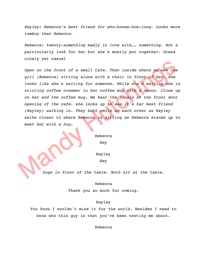*Hayley: Rebecca's best friend for who-knows-how-long. Looks more tomboy then Rebecca.*

*Rebecca: twenty-something madly in love with…… something. Not a particularly look for her but she's mostly put together. Dress nicely yet casual*

*Open on the front of a small Cafe. Then inside where we see one girl (Rebecca) sitting alone with a chair in front of her. She looks like she's waiting for someone. While she's waiting she is stirring coffee creamer in her coffee mug with a spoon. Close up on her and the coffee mug. We hear the jingle of the front door opening of the cafe. she looks up to see it's her best friend (Hayley) walking in. They both smile at each other as Hayley walks closer to where Rebecca is sitting as Rebecca stands up to meet her with a hug.* 

> Rebecca Hey

Hayley Hey

*hugs in front of the table. Both sit at the table.*

Rebecca

Thank you so much for coming.

#### Hayley

You know I wouldn't miss it for the world. Besides I need to know who this guy is that you've been texting me about.

Rebecca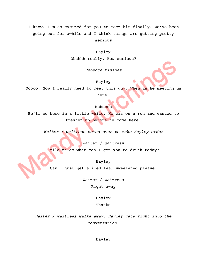I know. I'm so excited for you to meet him finally. We've been going out for awhile and I think things are getting pretty serious

#### Hayley

Ohhhhh really. How serious?

*Rebecca blushes*

# Hayley

Ooooo. Now I really need to meet this guy. When is he meeting us here?

#### Rebecca

He'll be here in a little while. He was on a run and wanted to freshen up before he came here.

*Waiter / waitress comes over to take Hayley order*

Waiter / waitress

Hello ma'am what can I get you to drink today?

Hayley

Can I just get a iced tea, sweetened please.

Waiter / waitress Right away

> Hayley Thanks

*Waiter / waitress walks away. Hayley gets right into the conversation.*

Hayley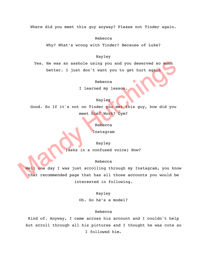Where did you meet this guy anyway? Please not Tinder again.

Rebecca

Why? What's wrong with Tinder? Because of Luke?

# Hayley

Yes. He was an asshole using you and you deserved so much better. I just don't want you to get hurt again

Rebecca

I learned my lesson.

## Hayley

Good. So If it's not on Tinder you met this guy, how did you meet him? Work? Gym?

Rebecca

Instagram

Hayley

(asks in a confused voice) How?

#### Rebecca

Well one day I was just scrolling through my Instagram, you know that recommended page that has all those accounts you would be interested in following.

### Hayley

Oh. So he's a model?

#### Rebecca

Kind of. Anyway, I came across his account and I couldn't help but scroll through all his pictures and I thought he was cute so I followed him.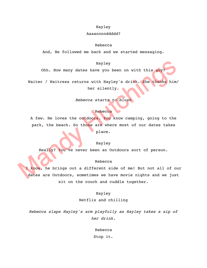## Hayley

# Aaaannnnddddd?

#### Rebecca

And, He followed me back and we started messaging.

# Hayley

Ohh. How many dates have you been on with this guy?

Waiter / Waitress returns with Hayley's drink. She thanks him/ her silently.

# *Rebecca starts to blush*

# Rebecca

A few. He loves the outdoors. You know camping, going to the park, the beach. So those are where most of our dates takes place.

# Hayley

Really? You've never been an Outdoors sort of person.

# Rebecca

I know, he brings out a different side of me! But not all of our dates are Outdoors, sometimes we have movie nights and we just sit on the couch and cuddle together.

# Hayley

Netflix and chilling

*Rebecca slaps Hayley's arm playfully as Hayley takes a sip of her drink.* 

Rebecca

Stop it.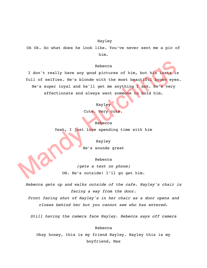#### Hayley

Ok Ok. So what does he look like. You've never sent me a pic of him.

#### Rebecca

I don't really have any good pictures of him, but his insta is full of selfies. He's blonde with the most beautiful brown eyes. He's super loyal and he'll get me anything I ask. He's very affectionate and always want someone to hold him.

#### Hayley

Cute. Very cute.

Rebecca Yeah, I just love spending time with him

> Hayley He's sounds great

> > Rebecca

*(gets a text on phone)* OH. He's outside! I'll go get him.

*Rebecca gets up and walks outside of the cafe. Hayley's chair is facing a way from the door.*

*Front facing shot of Hayley's in her chair as a door opens and closes behind her but you cannot see who has entered.*

*Still having the camera face Hayley. Rebecca says off camera*

Rebecca

Okay honey, this is my friend Hayley. Hayley this is my boyfriend, Max